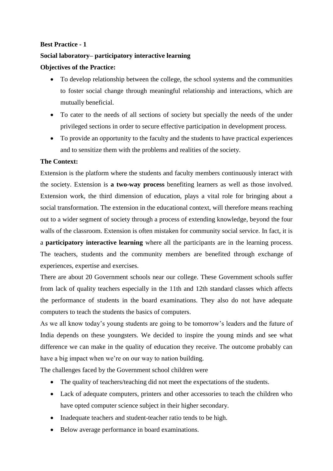## **Best Practice - 1**

## **Social laboratory– participatory interactive learning**

## **Objectives of the Practice:**

- To develop relationship between the college, the school systems and the communities to foster social change through meaningful relationship and interactions, which are mutually beneficial.
- To cater to the needs of all sections of society but specially the needs of the under privileged sections in order to secure effective participation in development process.
- To provide an opportunity to the faculty and the students to have practical experiences and to sensitize them with the problems and realities of the society.

## **The Context:**

Extension is the platform where the students and faculty members continuously interact with the society. Extension is **a two-way process** benefiting learners as well as those involved. Extension work, the third dimension of education, plays a vital role for bringing about a social transformation. The extension in the educational context, will therefore means reaching out to a wider segment of society through a process of extending knowledge, beyond the four walls of the classroom. Extension is often mistaken for community social service. In fact, it is a **participatory interactive learning** where all the participants are in the learning process. The teachers, students and the community members are benefited through exchange of experiences, expertise and exercises.

There are about 20 Government schools near our college. These Government schools suffer from lack of quality teachers especially in the 11th and 12th standard classes which affects the performance of students in the board examinations. They also do not have adequate computers to teach the students the basics of computers.

As we all know today's young students are going to be tomorrow's leaders and the future of India depends on these youngsters. We decided to inspire the young minds and see what difference we can make in the quality of education they receive. The outcome probably can have a big impact when we're on our way to nation building.

The challenges faced by the Government school children were

- The quality of teachers/teaching did not meet the expectations of the students.
- Lack of adequate computers, printers and other accessories to teach the children who have opted computer science subject in their higher secondary.
- Inadequate teachers and student-teacher ratio tends to be high.
- Below average performance in board examinations.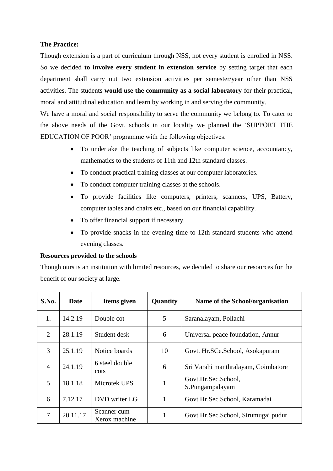## **The Practice:**

Though extension is a part of curriculum through NSS, not every student is enrolled in NSS. So we decided **to involve every student in extension service** by setting target that each department shall carry out two extension activities per semester/year other than NSS activities. The students **would use the community as a social laboratory** for their practical, moral and attitudinal education and learn by working in and serving the community.

We have a moral and social responsibility to serve the community we belong to. To cater to the above needs of the Govt. schools in our locality we planned the 'SUPPORT THE EDUCATION OF POOR' programme with the following objectives.

- To undertake the teaching of subjects like computer science, accountancy, mathematics to the students of 11th and 12th standard classes.
- To conduct practical training classes at our computer laboratories.
- To conduct computer training classes at the schools.
- To provide facilities like computers, printers, scanners, UPS, Battery, computer tables and chairs etc., based on our financial capability.
- To offer financial support if necessary.
- To provide snacks in the evening time to 12th standard students who attend evening classes.

## **Resources provided to the schools**

Though ours is an institution with limited resources, we decided to share our resources for the benefit of our society at large.

| S.No.          | Date     | Items given                  | Quantity | Name of the School/organisation        |
|----------------|----------|------------------------------|----------|----------------------------------------|
| 1.             | 14.2.19  | Double cot                   | 5        | Saranalayam, Pollachi                  |
| $\overline{2}$ | 28.1.19  | Student desk                 | 6        | Universal peace foundation, Annur      |
| 3              | 25.1.19  | Notice boards                | 10       | Govt. Hr.SCe.School, Asokapuram        |
| $\overline{4}$ | 24.1.19  | 6 steel double<br>cots       | 6        | Sri Varahi manthralayam, Coimbatore    |
| 5              | 18.1.18  | Microtek UPS                 | 1        | Govt.Hr.Sec.School,<br>S.Pungampalayam |
| 6              | 7.12.17  | DVD writer LG                | 1        | Govt.Hr.Sec.School, Karamadai          |
| 7              | 20.11.17 | Scanner cum<br>Xerox machine | 1        | Govt.Hr.Sec.School, Sirumugai pudur    |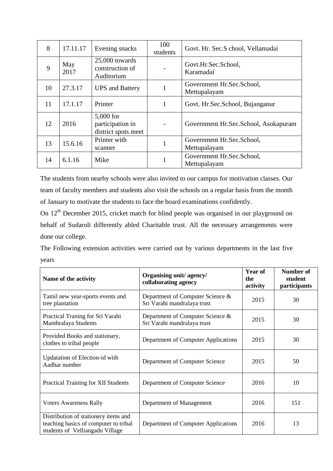| 8  | 17.11.17    | Evening snacks                                       | 100<br>students | Govt. Hr. Sec.S chool, Vellamadai         |
|----|-------------|------------------------------------------------------|-----------------|-------------------------------------------|
| 9  | May<br>2017 | 25,000 towards<br>construction of<br>Auditorium      |                 | Govt.Hr.Sec.School,<br>Karamadai          |
| 10 | 27.3.17     | <b>UPS</b> and Battery                               |                 | Government Hr.Sec.School,<br>Mettupalayam |
| 11 | 17.1.17     | Printer                                              |                 | Govt. Hr. Sec. School, Bujanganur         |
| 12 | 2016        | 5,000 for<br>participation in<br>district spots meet |                 | Government Hr.Sec.School, Asokapuram      |
| 13 | 15.6.16     | Printer with<br>scanner                              |                 | Government Hr.Sec.School,<br>Mettupalayam |
| 14 | 6.1.16      | Mike                                                 |                 | Government Hr.Sec.School,<br>Mettupalayam |

The students from nearby schools were also invited to our campus for motivation classes. Our team of faculty members and students also visit the schools on a regular basis from the month of January to motivate the students to face the board examinations confidently.

On 12<sup>th</sup> December 2015, cricket match for blind people was organised in our playground on behalf of Sudaroli differently abled Charitable trust. All the necessary arrangements were done our college.

The Following extension activities were carried out by various departments in the last five years

| Name of the activity                                                                                             | Organising unit/agency/<br>collaborating agency                 | Year of<br>the<br>activity | <b>Number of</b><br>student<br>participants |
|------------------------------------------------------------------------------------------------------------------|-----------------------------------------------------------------|----------------------------|---------------------------------------------|
| Tamil new year-sports events and<br>tree plantation                                                              | Department of Computer Science &<br>Sri Varahi mandralaya trust | 2015                       | 30                                          |
| Practical Traning for Sri Varahi<br>Manthralaya Students                                                         | Department of Computer Science &<br>Sri Varahi mandralaya trust | 2015                       | 30                                          |
| Provided Books and stationary,<br>clothes to tribal people                                                       | Department of Computer Applications                             | 2015                       | 30                                          |
| Updatation of Election-id with<br>Aadhar number                                                                  | Department of Computer Science                                  | 2015                       | 50                                          |
| <b>Practical Training for XII Students</b>                                                                       | Department of Computer Science                                  | 2016                       | 10                                          |
| <b>Voters Awareness Rally</b>                                                                                    | Department of Management                                        | 2016                       | 151                                         |
| Distribution of stationery items and<br>teaching basics of computer to tribal<br>students of Velliangadu Village | Department of Computer Applications                             | 2016                       | 13                                          |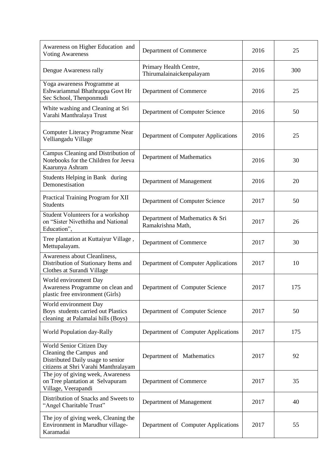| Awareness on Higher Education and<br><b>Voting Awareness</b>                                                                     | Department of Commerce                               | 2016 | 25  |
|----------------------------------------------------------------------------------------------------------------------------------|------------------------------------------------------|------|-----|
| Dengue Awareness rally                                                                                                           | Primary Health Centre,<br>Thirumalainaickenpalayam   | 2016 | 300 |
| Yoga awareness Programme at<br>Eshwariammal Bhathrappa Govt Hr<br>Sec School, Thenponmudi                                        | Department of Commerce                               | 2016 | 25  |
| White washing and Cleaning at Sri<br>Varahi Manthralaya Trust                                                                    | Department of Computer Science                       | 2016 | 50  |
| Computer Literacy Programme Near<br>Velliangadu Village                                                                          | Department of Computer Applications                  | 2016 | 25  |
| Campus Cleaning and Distribution of<br>Notebooks for the Children for Jeeva<br>Kaarunya Ashram                                   | Department of Mathematics                            | 2016 | 30  |
| Students Helping in Bank during<br>Demonestisation                                                                               | Department of Management                             | 2016 | 20  |
| Practical Training Program for XII<br><b>Students</b>                                                                            | Department of Computer Science                       | 2017 | 50  |
| Student Volunteers for a workshop<br>on "Sister Nivethitha and National<br>Education",                                           | Department of Mathematics & Sri<br>Ramakrishna Math, | 2017 | 26  |
| Tree plantation at Kuttaiyur Village,<br>Mettupalayam.                                                                           | Department of Commerce                               | 2017 | 30  |
| Awareness about Cleanliness,<br>Distribution of Stationary Items and<br>Clothes at Surandi Village                               | Department of Computer Applications                  | 2017 | 10  |
| World environment Day<br>Awareness Programme on clean and<br>plastic free environment (Girls)                                    | Department of Computer Science                       | 2017 | 175 |
| World environment Day<br>Boys students carried out Plastics<br>cleaning at Palamalai hills (Boys)                                | Department of Computer Science                       | 2017 | 50  |
| World Population day-Rally                                                                                                       | Department of Computer Applications                  | 2017 | 175 |
| World Senior Citizen Day<br>Cleaning the Campus and<br>Distributed Daily usage to senior<br>citizens at Shri Varahi Manthralayam | Department of Mathematics                            | 2017 | 92  |
| The joy of giving week, Awareness<br>on Tree plantation at Selvapuram<br>Village, Veerapandi                                     | Department of Commerce                               | 2017 | 35  |
| Distribution of Snacks and Sweets to<br>"Angel Charitable Trust"                                                                 | Department of Management                             | 2017 | 40  |
| The joy of giving week, Cleaning the<br>Environment in Marudhur village-<br>Karamadai                                            | Department of Computer Applications                  | 2017 | 55  |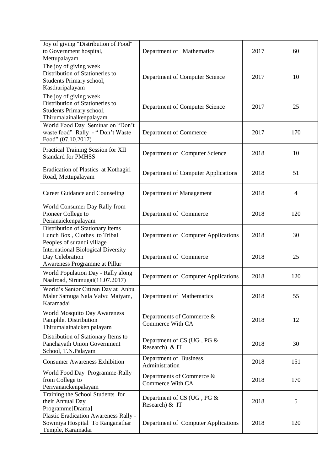| Joy of giving "Distribution of Food"<br>to Government hospital,<br>Mettupalayam                                  | Department of Mathematics                            | 2017 | 60  |
|------------------------------------------------------------------------------------------------------------------|------------------------------------------------------|------|-----|
| The joy of giving week<br>Distribution of Stationeries to<br>Students Primary school,<br>Kasthuripalayam         | Department of Computer Science                       | 2017 | 10  |
| The joy of giving week<br>Distribution of Stationeries to<br>Students Primary school,<br>Thirumalainaikenpalayam | Department of Computer Science                       | 2017 | 25  |
| World Food Day Seminar on "Don't<br>waste food" Rally - "Don't Waste<br>Food" (07.10.2017)                       | Department of Commerce                               | 2017 | 170 |
| Practical Training Session for XII<br><b>Standard for PMHSS</b>                                                  | Department of Computer Science                       | 2018 | 10  |
| Eradication of Plastics at Kothagiri<br>Road, Mettupalayam                                                       | Department of Computer Applications                  | 2018 | 51  |
| Career Guidance and Counseling                                                                                   | Department of Management                             | 2018 | 4   |
| World Consumer Day Rally from<br>Pioneer College to<br>Perianaickenpalayam                                       | Department of Commerce                               | 2018 | 120 |
| Distribution of Stationary items<br>Lunch Box, Clothes to Tribal<br>Peoples of surandi village                   | Department of Computer Applications                  | 2018 | 30  |
| <b>International Biological Diversity</b><br>Day Celebration<br>Awareness Programme at Pillur                    | Department of Commerce                               | 2018 | 25  |
| World Population Day - Rally along<br>Naalroad, Sirumugai(11.07.2017)                                            | Department of Computer Applications                  | 2018 | 120 |
| World's Senior Citizen Day at Anbu<br>Malar Samuga Nala Valvu Maiyam,<br>Karamadai                               | Department of Mathematics                            | 2018 | 55  |
| <b>World Mosquito Day Awareness</b><br><b>Pamphlet Distribution</b><br>Thirumalainaicken palayam                 | Departments of Commerce &<br><b>Commerce With CA</b> | 2018 | 12  |
| Distribution of Stationary Items to<br>Panchayath Union Government<br>School, T.N.Palayam                        | Department of CS (UG, PG &<br>Research) & IT         | 2018 | 30  |
| <b>Consumer Awareness Exhibition</b>                                                                             | Department of Business<br>Administration             | 2018 | 151 |
| World Food Day Programme-Rally<br>from College to<br>Periyanaickenpalayam                                        | Departments of Commerce &<br>Commerce With CA        | 2018 | 170 |
| Training the School Students for<br>their Annual Day<br>Programme[Drama]                                         | Department of CS (UG, PG &<br>Research) & IT         | 2018 | 5   |
| Plastic Eradication Awareness Rally -<br>Sowmiya Hospital To Ranganathar<br>Temple, Karamadai                    | Department of Computer Applications                  | 2018 | 120 |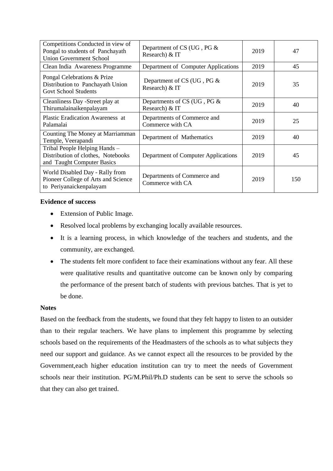| Competitions Conducted in view of<br>Pongal to students of Panchayath<br><b>Union Government School</b> | Department of CS (UG, PG &<br>Research) & IT    | 2019 | 47  |
|---------------------------------------------------------------------------------------------------------|-------------------------------------------------|------|-----|
| Clean India Awareness Programme                                                                         | Department of Computer Applications             | 2019 | 45  |
| Pongal Celebrations & Prize<br>Distribution to Panchayath Union<br><b>Govt School Students</b>          | Department of CS (UG, PG &<br>Research) & IT    | 2019 | 35  |
| Cleanliness Day -Street play at<br>Thirumalainaikenpalayam                                              | Departments of CS (UG, PG &<br>Research) & IT   | 2019 | 40  |
| <b>Plastic Eradication Awareness at</b><br>Palamalai                                                    | Departments of Commerce and<br>Commerce with CA | 2019 | 25  |
| Counting The Money at Marriamman<br>Temple, Veerapandi                                                  | Department of Mathematics                       | 2019 | 40  |
| Tribal People Helping Hands -<br>Distribution of clothes, Notebooks<br>and Taught Computer Basics       | Department of Computer Applications             | 2019 | 45  |
| World Disabled Day - Rally from<br>Pioneer College of Arts and Science<br>to Periyanaickenpalayam       | Departments of Commerce and<br>Commerce with CA | 2019 | 150 |

## **Evidence of success**

- Extension of Public Image.
- Resolved local problems by exchanging locally available resources.
- It is a learning process, in which knowledge of the teachers and students, and the community, are exchanged.
- The students felt more confident to face their examinations without any fear. All these were qualitative results and quantitative outcome can be known only by comparing the performance of the present batch of students with previous batches. That is yet to be done.

#### **Notes**

Based on the feedback from the students, we found that they felt happy to listen to an outsider than to their regular teachers. We have plans to implement this programme by selecting schools based on the requirements of the Headmasters of the schools as to what subjects they need our support and guidance. As we cannot expect all the resources to be provided by the Government,each higher education institution can try to meet the needs of Government schools near their institution. PG/M.Phil/Ph.D students can be sent to serve the schools so that they can also get trained.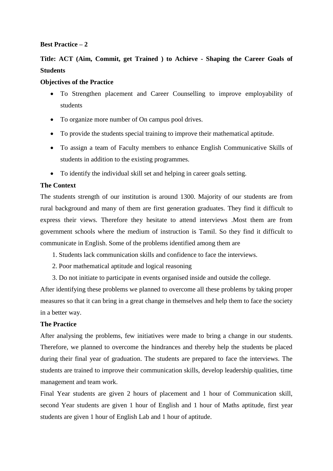## **Best Practice – 2**

# **Title: ACT (Aim, Commit, get Trained ) to Achieve - Shaping the Career Goals of Students**

## **Objectives of the Practice**

- To Strengthen placement and Career Counselling to improve employability of students
- To organize more number of On campus pool drives.
- To provide the students special training to improve their mathematical aptitude.
- To assign a team of Faculty members to enhance English Communicative Skills of students in addition to the existing programmes.
- To identify the individual skill set and helping in career goals setting.

## **The Context**

The students strength of our institution is around 1300. Majority of our students are from rural background and many of them are first generation graduates. They find it difficult to express their views. Therefore they hesitate to attend interviews .Most them are from government schools where the medium of instruction is Tamil. So they find it difficult to communicate in English. Some of the problems identified among them are

- 1. Students lack communication skills and confidence to face the interviews.
- 2. Poor mathematical aptitude and logical reasoning
- 3. Do not initiate to participate in events organised inside and outside the college.

After identifying these problems we planned to overcome all these problems by taking proper measures so that it can bring in a great change in themselves and help them to face the society in a better way.

## **The Practice**

After analysing the problems, few initiatives were made to bring a change in our students. Therefore, we planned to overcome the hindrances and thereby help the students be placed during their final year of graduation. The students are prepared to face the interviews. The students are trained to improve their communication skills, develop leadership qualities, time management and team work.

Final Year students are given 2 hours of placement and 1 hour of Communication skill, second Year students are given 1 hour of English and 1 hour of Maths aptitude, first year students are given 1 hour of English Lab and 1 hour of aptitude.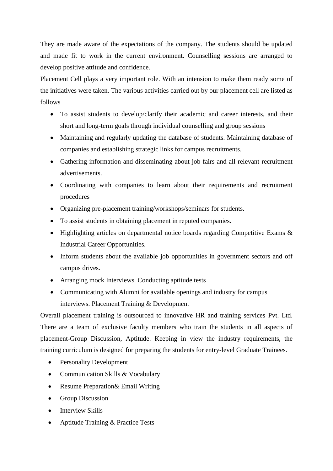They are made aware of the expectations of the company. The students should be updated and made fit to work in the current environment. Counselling sessions are arranged to develop positive attitude and confidence.

Placement Cell plays a very important role. With an intension to make them ready some of the initiatives were taken. The various activities carried out by our placement cell are listed as follows

- To assist students to develop/clarify their academic and career interests, and their short and long-term goals through individual counselling and group sessions
- Maintaining and regularly updating the database of students. Maintaining database of companies and establishing strategic links for campus recruitments.
- Gathering information and disseminating about job fairs and all relevant recruitment advertisements.
- Coordinating with companies to learn about their requirements and recruitment procedures
- Organizing pre-placement training/workshops/seminars for students.
- To assist students in obtaining placement in reputed companies.
- Highlighting articles on departmental notice boards regarding Competitive Exams & Industrial Career Opportunities.
- Inform students about the available job opportunities in government sectors and off campus drives.
- Arranging mock Interviews. Conducting aptitude tests
- Communicating with Alumni for available openings and industry for campus interviews. Placement Training & Development

Overall placement training is outsourced to innovative HR and training services Pvt. Ltd. There are a team of exclusive faculty members who train the students in all aspects of placement-Group Discussion, Aptitude. Keeping in view the industry requirements, the training curriculum is designed for preparing the students for entry-level Graduate Trainees.

- Personality Development
- Communication Skills & Vocabulary
- Resume Preparation & Email Writing
- Group Discussion
- Interview Skills
- Aptitude Training & Practice Tests